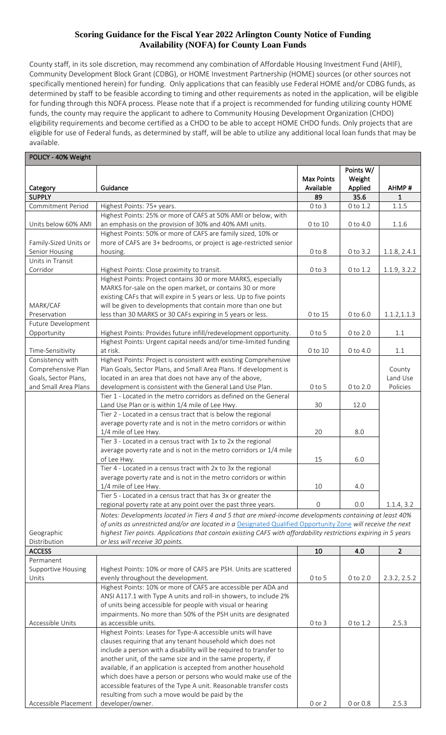## **Scoring Guidance for the Fiscal Year 2022 Arlington County Notice of Funding Availability (NOFA) for County Loan Funds**

County staff, in its sole discretion, may recommend any combination of Affordable Housing Investment Fund (AHIF), Community Development Block Grant (CDBG), or HOME Investment Partnership (HOME) sources (or other sources not specifically mentioned herein) for funding. Only applications that can feasibly use Federal HOME and/or CDBG funds, as determined by staff to be feasible according to timing and other requirements as noted in the application, will be eligible for funding through this NOFA process. Please note that if a project is recommended for funding utilizing county HOME funds, the county may require the applicant to adhere to Community Housing Development Organization (CHDO) eligibility requirements and become certified as a CHDO to be able to accept HOME CHDO funds. Only projects that are eligible for use of Federal funds, as determined by staff, will be able to utilize any additional local loan funds that may be available.

| POLICY - 40% Weight       |                                                                                                                                                                                                                         |                                |                                |                |
|---------------------------|-------------------------------------------------------------------------------------------------------------------------------------------------------------------------------------------------------------------------|--------------------------------|--------------------------------|----------------|
| Category                  | Guidance                                                                                                                                                                                                                | <b>Max Points</b><br>Available | Points W/<br>Weight<br>Applied | AHMP#          |
| <b>SUPPLY</b>             |                                                                                                                                                                                                                         | 89                             | 35.6                           | $\mathbf{1}$   |
| Commitment Period         | Highest Points: 75+ years.                                                                                                                                                                                              | $0$ to $3$                     | 0 to 1.2                       | 1.1.5          |
|                           | Highest Points: 25% or more of CAFS at 50% AMI or below, with                                                                                                                                                           |                                |                                |                |
| Units below 60% AMI       | an emphasis on the provision of 30% and 40% AMI units.                                                                                                                                                                  | 0 to 10                        | 0 to 4.0                       | 1.1.6          |
|                           | Highest Points: 50% or more of CAFS are family sized, 10% or                                                                                                                                                            |                                |                                |                |
| Family-Sized Units or     | more of CAFS are 3+ bedrooms, or project is age-restricted senior                                                                                                                                                       |                                |                                |                |
| Senior Housing            | housing.                                                                                                                                                                                                                | $0$ to $8$                     | 0 to 3.2                       | 1.1.8, 2.4.1   |
| Units in Transit          |                                                                                                                                                                                                                         |                                |                                |                |
| Corridor                  | Highest Points: Close proximity to transit.                                                                                                                                                                             | $0$ to $3$                     | 0 to 1.2                       | 1.1.9, 3.2.2   |
|                           | Highest Points: Project contains 30 or more MARKS, especially                                                                                                                                                           |                                |                                |                |
|                           | MARKS for-sale on the open market, or contains 30 or more                                                                                                                                                               |                                |                                |                |
|                           | existing CAFs that will expire in 5 years or less. Up to five points                                                                                                                                                    |                                |                                |                |
| MARK/CAF                  | will be given to developments that contain more than one but                                                                                                                                                            |                                |                                |                |
| Preservation              | less than 30 MARKS or 30 CAFs expiring in 5 years or less.                                                                                                                                                              | 0 to 15                        | 0 to 6.0                       | 1.1.2, 1.1.3   |
| Future Development        |                                                                                                                                                                                                                         |                                |                                |                |
| Opportunity               | Highest Points: Provides future infill/redevelopment opportunity.                                                                                                                                                       | $0$ to $5$                     | 0 to 2.0                       | $1.1\,$        |
|                           | Highest Points: Urgent capital needs and/or time-limited funding                                                                                                                                                        |                                |                                |                |
| Time-Sensitivity          | at risk.                                                                                                                                                                                                                | 0 to 10                        | 0 to 4.0                       | 1.1            |
| Consistency with          | Highest Points: Project is consistent with existing Comprehensive                                                                                                                                                       |                                |                                |                |
| Comprehensive Plan        | Plan Goals, Sector Plans, and Small Area Plans. If development is                                                                                                                                                       |                                |                                | County         |
| Goals, Sector Plans,      | located in an area that does not have any of the above,                                                                                                                                                                 |                                |                                | Land Use       |
| and Small Area Plans      | development is consistent with the General Land Use Plan.                                                                                                                                                               | $0$ to 5                       | 0 to 2.0                       | Policies       |
|                           | Tier 1 - Located in the metro corridors as defined on the General                                                                                                                                                       |                                |                                |                |
|                           | Land Use Plan or is within 1/4 mile of Lee Hwy.                                                                                                                                                                         | 30                             | 12.0                           |                |
|                           | Tier 2 - Located in a census tract that is below the regional                                                                                                                                                           |                                |                                |                |
|                           | average poverty rate and is not in the metro corridors or within                                                                                                                                                        |                                |                                |                |
|                           | 1/4 mile of Lee Hwy.                                                                                                                                                                                                    | 20                             | 8.0                            |                |
|                           | Tier 3 - Located in a census tract with 1x to 2x the regional                                                                                                                                                           |                                |                                |                |
|                           | average poverty rate and is not in the metro corridors or 1/4 mile                                                                                                                                                      |                                |                                |                |
|                           | of Lee Hwy.                                                                                                                                                                                                             | 15                             | 6.0                            |                |
|                           | Tier 4 - Located in a census tract with 2x to 3x the regional                                                                                                                                                           |                                |                                |                |
|                           | average poverty rate and is not in the metro corridors or within                                                                                                                                                        | 10                             | 4.0                            |                |
|                           | 1/4 mile of Lee Hwy.<br>Tier 5 - Located in a census tract that has 3x or greater the                                                                                                                                   |                                |                                |                |
|                           | regional poverty rate at any point over the past three years.                                                                                                                                                           | 0                              | 0.0                            | 1.1.4, 3.2     |
|                           |                                                                                                                                                                                                                         |                                |                                |                |
|                           | Notes: Developments located in Tiers 4 and 5 that are mixed-income developments containing at least 40%<br>of units as unrestricted and/or are located in a Designated Qualified Opportunity Zone will receive the next |                                |                                |                |
| Geographic                | highest Tier points. Applications that contain existing CAFS with affordability restrictions expiring in 5 years                                                                                                        |                                |                                |                |
| Distribution              | or less will receive 30 points.                                                                                                                                                                                         |                                |                                |                |
| <b>ACCESS</b>             |                                                                                                                                                                                                                         | 10                             | 4.0                            | $\overline{2}$ |
| Permanent                 |                                                                                                                                                                                                                         |                                |                                |                |
| <b>Supportive Housing</b> | Highest Points: 10% or more of CAFS are PSH. Units are scattered                                                                                                                                                        |                                |                                |                |
| Units                     | evenly throughout the development.                                                                                                                                                                                      | $0$ to $5$                     | 0 to 2.0                       | 2.3.2, 2.5.2   |
|                           | Highest Points: 10% or more of CAFS are accessible per ADA and                                                                                                                                                          |                                |                                |                |
|                           | ANSI A117.1 with Type A units and roll-in showers, to include 2%                                                                                                                                                        |                                |                                |                |
|                           | of units being accessible for people with visual or hearing                                                                                                                                                             |                                |                                |                |
|                           | impairments. No more than 50% of the PSH units are designated                                                                                                                                                           |                                |                                |                |
| Accessible Units          | as accessible units.                                                                                                                                                                                                    | $0$ to $3$                     | 0 to 1.2                       | 2.5.3          |
|                           | Highest Points: Leases for Type-A accessible units will have                                                                                                                                                            |                                |                                |                |
|                           | clauses requiring that any tenant household which does not                                                                                                                                                              |                                |                                |                |
|                           | include a person with a disability will be required to transfer to                                                                                                                                                      |                                |                                |                |
|                           | another unit, of the same size and in the same property, if                                                                                                                                                             |                                |                                |                |
|                           | available, if an application is accepted from another household                                                                                                                                                         |                                |                                |                |
|                           | which does have a person or persons who would make use of the                                                                                                                                                           |                                |                                |                |
|                           | accessible features of the Type A unit. Reasonable transfer costs                                                                                                                                                       |                                |                                |                |
|                           | resulting from such a move would be paid by the                                                                                                                                                                         |                                |                                |                |
| Accessible Placement      | developer/owner.                                                                                                                                                                                                        | $0$ or $2$                     | 0 or 0.8                       | 2.5.3          |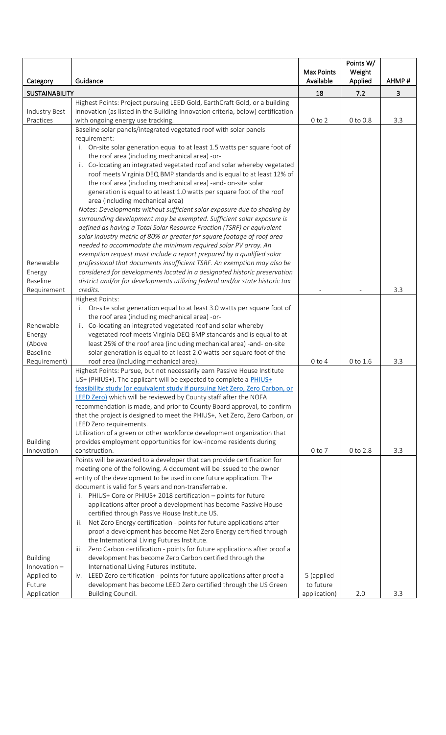|                          |                                                                                                                                                 | Max Points<br>Available | Points W/<br>Weight | AHMP# |
|--------------------------|-------------------------------------------------------------------------------------------------------------------------------------------------|-------------------------|---------------------|-------|
| Category                 | Guidance                                                                                                                                        |                         | Applied             |       |
| <b>SUSTAINABILITY</b>    |                                                                                                                                                 | 18                      | 7.2                 | 3     |
|                          | Highest Points: Project pursuing LEED Gold, EarthCraft Gold, or a building                                                                      |                         |                     |       |
| Industry Best            | innovation (as listed in the Building Innovation criteria, below) certification                                                                 |                         |                     |       |
| Practices                | with ongoing energy use tracking.                                                                                                               | $0$ to $2$              | 0 to 0.8            | 3.3   |
|                          | Baseline solar panels/integrated vegetated roof with solar panels                                                                               |                         |                     |       |
|                          | requirement:                                                                                                                                    |                         |                     |       |
|                          | i. On-site solar generation equal to at least 1.5 watts per square foot of                                                                      |                         |                     |       |
|                          | the roof area (including mechanical area) -or-<br>ii. Co-locating an integrated vegetated roof and solar whereby vegetated                      |                         |                     |       |
|                          | roof meets Virginia DEQ BMP standards and is equal to at least 12% of                                                                           |                         |                     |       |
|                          | the roof area (including mechanical area) -and- on-site solar                                                                                   |                         |                     |       |
|                          | generation is equal to at least 1.0 watts per square foot of the roof                                                                           |                         |                     |       |
|                          | area (including mechanical area)                                                                                                                |                         |                     |       |
|                          | Notes: Developments without sufficient solar exposure due to shading by                                                                         |                         |                     |       |
|                          | surrounding development may be exempted. Sufficient solar exposure is                                                                           |                         |                     |       |
|                          | defined as having a Total Solar Resource Fraction (TSRF) or equivalent                                                                          |                         |                     |       |
|                          | solar industry metric of 80% or greater for square footage of roof area                                                                         |                         |                     |       |
|                          | needed to accommodate the minimum required solar PV array. An                                                                                   |                         |                     |       |
|                          | exemption request must include a report prepared by a qualified solar                                                                           |                         |                     |       |
| Renewable                | professional that documents insufficient TSRF. An exemption may also be                                                                         |                         |                     |       |
| Energy                   | considered for developments located in a designated historic preservation                                                                       |                         |                     |       |
| <b>Baseline</b>          | district and/or for developments utilizing federal and/or state historic tax                                                                    |                         |                     |       |
| Requirement              | credits.                                                                                                                                        |                         |                     | 3.3   |
|                          | Highest Points:                                                                                                                                 |                         |                     |       |
|                          | i. On-site solar generation equal to at least 3.0 watts per square foot of                                                                      |                         |                     |       |
|                          | the roof area (including mechanical area) -or-                                                                                                  |                         |                     |       |
| Renewable                | ii. Co-locating an integrated vegetated roof and solar whereby                                                                                  |                         |                     |       |
| Energy                   | vegetated roof meets Virginia DEQ BMP standards and is equal to at                                                                              |                         |                     |       |
| (Above                   | least 25% of the roof area (including mechanical area) -and- on-site                                                                            |                         |                     |       |
| Baseline<br>Requirement) | solar generation is equal to at least 2.0 watts per square foot of the<br>roof area (including mechanical area).                                | $0$ to $4$              |                     | 3.3   |
|                          | Highest Points: Pursue, but not necessarily earn Passive House Institute                                                                        |                         | 0 to 1.6            |       |
|                          | US+ (PHIUS+). The applicant will be expected to complete a PHIUS+                                                                               |                         |                     |       |
|                          | feasibility study (or equivalent study if pursuing Net Zero, Zero Carbon, or                                                                    |                         |                     |       |
|                          | LEED Zero) which will be reviewed by County staff after the NOFA                                                                                |                         |                     |       |
|                          | recommendation is made, and prior to County Board approval, to confirm                                                                          |                         |                     |       |
|                          | that the project is designed to meet the PHIUS+, Net Zero, Zero Carbon, or                                                                      |                         |                     |       |
|                          | LEED Zero requirements.                                                                                                                         |                         |                     |       |
|                          | Utilization of a green or other workforce development organization that                                                                         |                         |                     |       |
| <b>Building</b>          | provides employment opportunities for low-income residents during                                                                               |                         |                     |       |
| Innovation               | construction.                                                                                                                                   | $0$ to $7$              | 0 to 2.8            | 3.3   |
|                          | Points will be awarded to a developer that can provide certification for                                                                        |                         |                     |       |
|                          | meeting one of the following. A document will be issued to the owner                                                                            |                         |                     |       |
|                          | entity of the development to be used in one future application. The                                                                             |                         |                     |       |
|                          | document is valid for 5 years and non-transferrable.                                                                                            |                         |                     |       |
|                          | PHIUS+ Core or PHIUS+ 2018 certification - points for future<br>i.                                                                              |                         |                     |       |
|                          | applications after proof a development has become Passive House                                                                                 |                         |                     |       |
|                          | certified through Passive House Institute US.                                                                                                   |                         |                     |       |
|                          | Net Zero Energy certification - points for future applications after<br>ii.<br>proof a development has become Net Zero Energy certified through |                         |                     |       |
|                          | the International Living Futures Institute.                                                                                                     |                         |                     |       |
|                          | Zero Carbon certification - points for future applications after proof a<br>iii.                                                                |                         |                     |       |
| <b>Building</b>          | development has become Zero Carbon certified through the                                                                                        |                         |                     |       |
| Innovation $-$           | International Living Futures Institute.                                                                                                         |                         |                     |       |
| Applied to               | LEED Zero certification - points for future applications after proof a<br>IV.                                                                   | 5 (applied              |                     |       |
| Future                   | development has become LEED Zero certified through the US Green                                                                                 | to future               |                     |       |
| Application              | Building Council.                                                                                                                               | application)            | 2.0                 | 3.3   |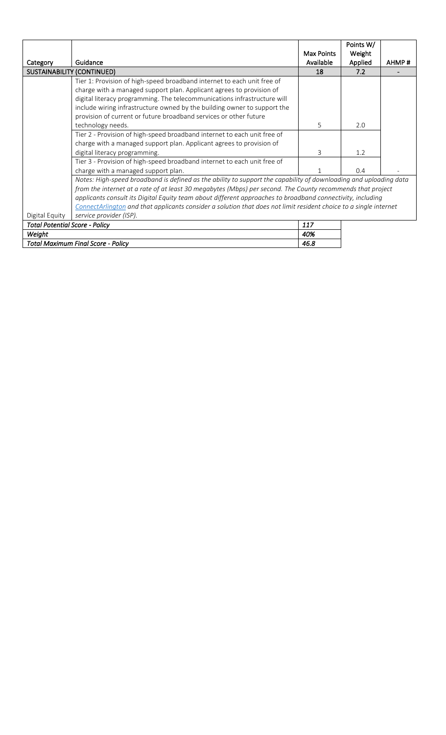|                                           |                                                                                                                   |            | Points W/ |       |
|-------------------------------------------|-------------------------------------------------------------------------------------------------------------------|------------|-----------|-------|
|                                           |                                                                                                                   | Max Points | Weight    |       |
| Category                                  | Guidance                                                                                                          | Available  | Applied   | AHMP# |
|                                           | SUSTAINABILITY (CONTINUED)                                                                                        | 18         | 7.2       |       |
|                                           | Tier 1: Provision of high-speed broadband internet to each unit free of                                           |            |           |       |
|                                           | charge with a managed support plan. Applicant agrees to provision of                                              |            |           |       |
|                                           | digital literacy programming. The telecommunications infrastructure will                                          |            |           |       |
|                                           | include wiring infrastructure owned by the building owner to support the                                          |            |           |       |
|                                           | provision of current or future broadband services or other future                                                 |            |           |       |
|                                           | technology needs.                                                                                                 | 5          | 2.0       |       |
|                                           | Tier 2 - Provision of high-speed broadband internet to each unit free of                                          |            |           |       |
|                                           | charge with a managed support plan. Applicant agrees to provision of                                              |            |           |       |
|                                           | digital literacy programming.                                                                                     | 3          | 1.2       |       |
|                                           | Tier 3 - Provision of high-speed broadband internet to each unit free of                                          |            |           |       |
|                                           | charge with a managed support plan.                                                                               |            | 0.4       |       |
|                                           | Notes: High-speed broadband is defined as the ability to support the capability of downloading and uploading data |            |           |       |
|                                           | from the internet at a rate of at least 30 megabytes (Mbps) per second. The County recommends that project        |            |           |       |
|                                           | applicants consult its Digital Equity team about different approaches to broadband connectivity, including        |            |           |       |
|                                           | ConnectArlington and that applicants consider a solution that does not limit resident choice to a single internet |            |           |       |
| Digital Equity                            | service provider (ISP).                                                                                           |            |           |       |
| <b>Total Potential Score - Policy</b>     |                                                                                                                   | 117        |           |       |
| Weight                                    |                                                                                                                   | 40%        |           |       |
| <b>Total Maximum Final Score - Policy</b> |                                                                                                                   | 46.8       |           |       |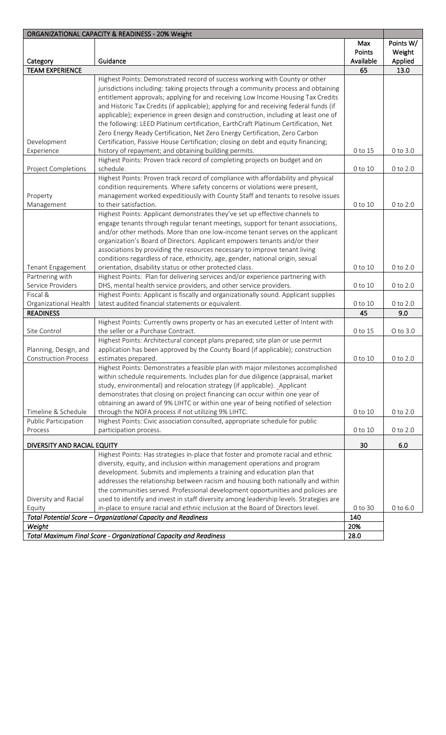| ORGANIZATIONAL CAPACITY & READINESS - 20% Weight |                                                                                                                                            |                            |                                |
|--------------------------------------------------|--------------------------------------------------------------------------------------------------------------------------------------------|----------------------------|--------------------------------|
| Category                                         | Guidance                                                                                                                                   | Max<br>Points<br>Available | Points W/<br>Weight<br>Applied |
| <b>TEAM EXPERIENCE</b>                           |                                                                                                                                            | 65                         | 13.0                           |
|                                                  | Highest Points: Demonstrated record of success working with County or other                                                                |                            |                                |
|                                                  | jurisdictions including: taking projects through a community process and obtaining                                                         |                            |                                |
|                                                  | entitlement approvals; applying for and receiving Low Income Housing Tax Credits                                                           |                            |                                |
|                                                  | and Historic Tax Credits (if applicable); applying for and receiving federal funds (if                                                     |                            |                                |
|                                                  | applicable); experience in green design and construction, including at least one of                                                        |                            |                                |
|                                                  | the following: LEED Platinum certification, EarthCraft Platinum Certification, Net                                                         |                            |                                |
|                                                  | Zero Energy Ready Certification, Net Zero Energy Certification, Zero Carbon                                                                |                            |                                |
| Development                                      | Certification, Passive House Certification; closing on debt and equity financing;                                                          |                            |                                |
| Experience                                       | history of repayment; and obtaining building permits.                                                                                      | 0 to 15                    | 0 to 3.0                       |
|                                                  | Highest Points: Proven track record of completing projects on budget and on                                                                |                            |                                |
| Project Completions                              | schedule.                                                                                                                                  | 0 to 10                    | 0 to 2.0                       |
|                                                  | Highest Points: Proven track record of compliance with affordability and physical                                                          |                            |                                |
|                                                  | condition requirements. Where safety concerns or violations were present,                                                                  |                            |                                |
| Property                                         | management worked expeditiously with County Staff and tenants to resolve issues                                                            |                            |                                |
| Management                                       | to their satisfaction.                                                                                                                     | 0 to 10                    | 0 to 2.0                       |
|                                                  | Highest Points: Applicant demonstrates they've set up effective channels to                                                                |                            |                                |
|                                                  | engage tenants through regular tenant meetings, support for tenant associations,                                                           |                            |                                |
|                                                  | and/or other methods. More than one low-income tenant serves on the applicant                                                              |                            |                                |
|                                                  | organization's Board of Directors. Applicant empowers tenants and/or their                                                                 |                            |                                |
|                                                  | associations by providing the resources necessary to improve tenant living                                                                 |                            |                                |
|                                                  | conditions regardless of race, ethnicity, age, gender, national origin, sexual<br>orientation, disability status or other protected class. | 0 to 10                    | 0 to 2.0                       |
| Tenant Engagement<br>Partnering with             | Highest Points: Plan for delivering services and/or experience partnering with                                                             |                            |                                |
| Service Providers                                | DHS, mental health service providers, and other service providers.                                                                         | 0 to 10                    | $0$ to $2.0$                   |
| Fiscal &                                         | Highest Points: Applicant is fiscally and organizationally sound. Applicant supplies                                                       |                            |                                |
| Organizational Health                            | latest audited financial statements or equivalent.                                                                                         | 0 to 10                    | 0 to 2.0                       |
| <b>READINESS</b>                                 |                                                                                                                                            | 45                         | 9.0                            |
|                                                  | Highest Points: Currently owns property or has an executed Letter of Intent with                                                           |                            |                                |
| Site Control                                     | the seller or a Purchase Contract.                                                                                                         | 0 to 15                    | $O$ to $3.0$                   |
|                                                  | Highest Points: Architectural concept plans prepared; site plan or use permit                                                              |                            |                                |
| Planning, Design, and                            | application has been approved by the County Board (if applicable); construction                                                            |                            |                                |
| <b>Construction Process</b>                      | estimates prepared.                                                                                                                        | 0 to 10                    | $0$ to $2.0$                   |
|                                                  | Highest Points: Demonstrates a feasible plan with major milestones accomplished                                                            |                            |                                |
|                                                  | within schedule requirements. Includes plan for due diligence (appraisal, market                                                           |                            |                                |
|                                                  | study, environmental) and relocation strategy (if applicable). Applicant                                                                   |                            |                                |
|                                                  | demonstrates that closing on project financing can occur within one year of                                                                |                            |                                |
|                                                  | obtaining an award of 9% LIHTC or within one year of being notified of selection                                                           |                            |                                |
| Timeline & Schedule                              | through the NOFA process if not utilizing 9% LIHTC.                                                                                        | 0 to 10                    | 0 to 2.0                       |
| Public Participation                             | Highest Points: Civic association consulted, appropriate schedule for public                                                               |                            |                                |
| Process                                          | participation process.                                                                                                                     | 0 to 10                    | 0 to 2.0                       |
| DIVERSITY AND RACIAL EQUITY                      |                                                                                                                                            | 30                         | 6.0                            |
|                                                  | Highest Points: Has strategies in-place that foster and promote racial and ethnic                                                          |                            |                                |
|                                                  | diversity, equity, and inclusion within management operations and program                                                                  |                            |                                |
|                                                  | development. Submits and implements a training and education plan that                                                                     |                            |                                |
|                                                  | addresses the relationship between racism and housing both nationally and within                                                           |                            |                                |
|                                                  | the communities served. Professional development opportunities and policies are                                                            |                            |                                |
| Diversity and Racial                             | used to identify and invest in staff diversity among leadership levels. Strategies are                                                     |                            |                                |
| Equity                                           | in-place to ensure racial and ethnic inclusion at the Board of Directors level.                                                            | 0 to 30                    | 0 to 6.0                       |
| Total Potential Score -<br>Weight                | <b>Organizational Capacity and Readiness</b>                                                                                               | 140<br>20%                 |                                |
|                                                  | Total Maximum Final Score - Organizational Capacity and Readiness                                                                          | 28.0                       |                                |
|                                                  |                                                                                                                                            |                            |                                |